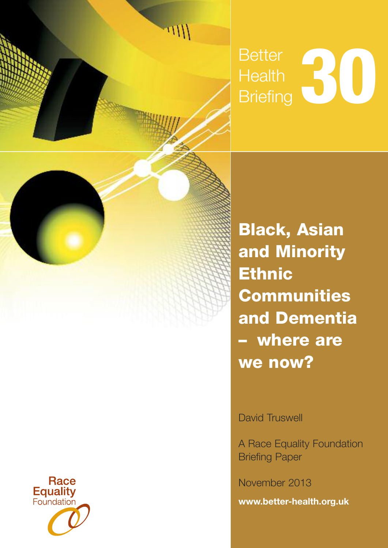

# **Better** Health Better<br>Health<br>Briefing

**Black, Asian and Minority Ethnic Communities and Dementia – where are we now?**

David Truswell

A Race Equality Foundation Briefing Paper

November 2013

**[www.better-health.org.uk](http://www.better-housing.org.uk)**

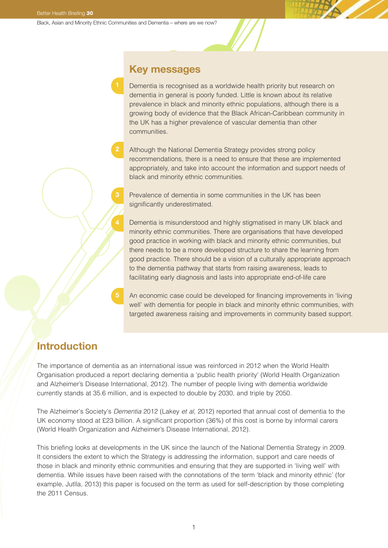**2**

## **Key messages**

Dementia is recognised as a worldwide health priority but research on dementia in general is poorly funded. Little is known about its relative prevalence in black and minority ethnic populations, although there is a growing body of evidence that the Black African-Caribbean community in the UK has a higher prevalence of vascular dementia than other communities.

Although the National Dementia Strategy provides strong policy recommendations, there is a need to ensure that these are implemented appropriately, and take into account the information and support needs of black and minority ethnic communities.

Prevalence of dementia in some communities in the UK has been significantly underestimated.

Dementia is misunderstood and highly stigmatised in many UK black and minority ethnic communities. There are organisations that have developed good practice in working with black and minority ethnic communities, but there needs to be a more developed structure to share the learning from good practice. There should be a vision of a culturally appropriate approach to the dementia pathway that starts from raising awareness, leads to facilitating early diagnosis and lasts into appropriate end-of-life care

An economic case could be developed for financing improvements in 'living well' with dementia for people in black and minority ethnic communities, with targeted awareness raising and improvements in community based support.

## **Introduction**

The importance of dementia as an international issue was reinforced in 2012 when the World Health Organisation produced a report declaring dementia a 'public health priority' (World Health Organization and Alzheimer's Disease International, 2012). The number of people living with dementia worldwide currently stands at 35.6 million, and is expected to double by 2030, and triple by 2050.

The Alzheimer's Society's Dementia 2012 (Lakey et al, 2012) reported that annual cost of dementia to the UK economy stood at £23 billion. A significant proportion (36%) of this cost is borne by informal carers (World Health Organization and Alzheimer's Disease International, 2012).

This briefing looks at developments in the UK since the launch of the National Dementia Strategy in 2009. It considers the extent to which the Strategy is addressing the information, support and care needs of those in black and minority ethnic communities and ensuring that they are supported in 'living well' with dementia. While issues have been raised with the connotations of the term 'black and minority ethnic' (for example, Jutlla, 2013) this paper is focused on the term as used for self-description by those completing the 2011 Census.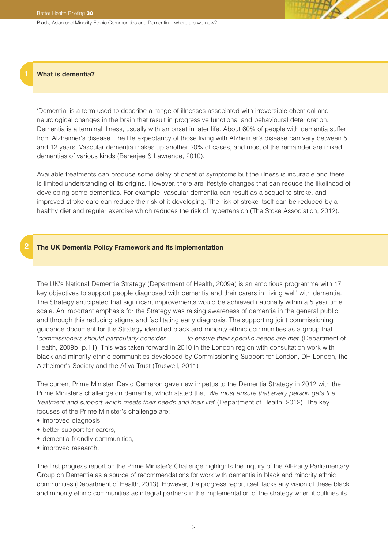#### **1 What is dementia?**

**2**

'Dementia' is a term used to describe a range of illnesses associated with irreversible chemical and neurological changes in the brain that result in progressive functional and behavioural deterioration. Dementia is a terminal illness, usually with an onset in later life. About 60% of people with dementia suffer from Alzheimer's disease. The life expectancy of those living with Alzheimer's disease can vary between 5 and 12 years. Vascular dementia makes up another 20% of cases, and most of the remainder are mixed dementias of various kinds (Banerjee & Lawrence, 2010).

Available treatments can produce some delay of onset of symptoms but the illness is incurable and there is limited understanding of its origins. However, there are lifestyle changes that can reduce the likelihood of developing some dementias. For example, vascular dementia can result as a sequel to stroke, and improved stroke care can reduce the risk of it developing. The risk of stroke itself can be reduced by a healthy diet and regular exercise which reduces the risk of hypertension (The Stoke Association, 2012).

#### **The UK Dementia Policy Framework and its implementation**

The UK's National Dementia Strategy (Department of Health, 2009a) is an ambitious programme with 17 key objectives to support people diagnosed with dementia and their carers in 'living well' with dementia. The Strategy anticipated that significant improvements would be achieved nationally within a 5 year time scale. An important emphasis for the Strategy was raising awareness of dementia in the general public and through this reducing stigma and facilitating early diagnosis. The supporting joint commissioning guidance document for the Strategy identified black and minority ethnic communities as a group that 'commissioners should particularly consider ...........to ensure their specific needs are met' (Department of Health, 2009b, p.11). This was taken forward in 2010 in the London region with consultation work with black and minority ethnic communities developed by Commissioning Support for London, DH London, the Alzheimer's Society and the Afiya Trust (Truswell, 2011)

The current Prime Minister, David Cameron gave new impetus to the Dementia Strategy in 2012 with the Prime Minister's challenge on dementia, which stated that 'We must ensure that every person gets the treatment and support which meets their needs and their life' (Department of Health, 2012). The key focuses of the Prime Minister's challenge are:

- improved diagnosis;
- better support for carers;
- dementia friendly communities;
- improved research.

The first progress report on the Prime Minister's Challenge highlights the inquiry of the All-Party Parliamentary Group on Dementia as a source of recommendations for work with dementia in black and minority ethnic communities (Department of Health, 2013). However, the progress report itself lacks any vision of these black and minority ethnic communities as integral partners in the implementation of the strategy when it outlines its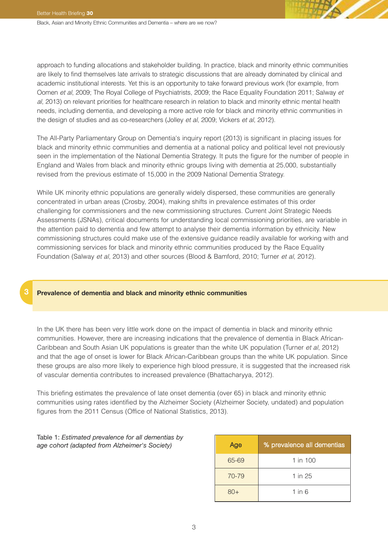approach to funding allocations and stakeholder building. In practice, black and minority ethnic communities are likely to find themselves late arrivals to strategic discussions that are already dominated by clinical and academic institutional interests. Yet this is an opportunity to take forward previous work (for example, from Oomen et al, 2009; The Royal College of Psychiatrists, 2009; the Race Equality Foundation 2011; Salway et al, 2013) on relevant priorities for healthcare research in relation to black and minority ethnic mental health needs, including dementia, and developing a more active role for black and minority ethnic communities in the design of studies and as co-researchers (Jolley et al, 2009; Vickers et al, 2012).

The All-Party Parliamentary Group on Dementia's inquiry report (2013) is significant in placing issues for black and minority ethnic communities and dementia at a national policy and political level not previously seen in the implementation of the National Dementia Strategy. It puts the figure for the number of people in England and Wales from black and minority ethnic groups living with dementia at 25,000, substantially revised from the previous estimate of 15,000 in the 2009 National Dementia Strategy.

While UK minority ethnic populations are generally widely dispersed, these communities are generally concentrated in urban areas (Crosby, 2004), making shifts in prevalence estimates of this order challenging for commissioners and the new commissioning structures. Current Joint Strategic Needs Assessments (JSNAs), critical documents for understanding local commissioning priorities, are variable in the attention paid to dementia and few attempt to analyse their dementia information by ethnicity. New commissioning structures could make use of the extensive guidance readily available for working with and commissioning services for black and minority ethnic communities produced by the Race Equality Foundation (Salway et al, 2013) and other sources (Blood & Bamford, 2010; Turner et al, 2012).

#### **3 Prevalence of dementia and black and minority ethnic communities**

In the UK there has been very little work done on the impact of dementia in black and minority ethnic communities. However, there are increasing indications that the prevalence of dementia in Black African-Caribbean and South Asian UK populations is greater than the white UK population (Turner et al, 2012) and that the age of onset is lower for Black African-Caribbean groups than the white UK population. Since these groups are also more likely to experience high blood pressure, it is suggested that the increased risk of vascular dementia contributes to increased prevalence (Bhattacharyya, 2012).

This briefing estimates the prevalence of late onset dementia (over 65) in black and minority ethnic communities using rates identified by the Alzheimer Society (Alzheimer Society, undated) and population figures from the 2011 Census (Office of National Statistics, 2013).

Table 1: *Estimated prevalence for all dementias by age cohort (adapted from Alzheimer's Society)*

| Age   | % prevalence all dementias |  |  |
|-------|----------------------------|--|--|
| 65-69 | 1 in $100$                 |  |  |
| 70-79 | 1 in 25                    |  |  |
| 80+   | 1 in $6$                   |  |  |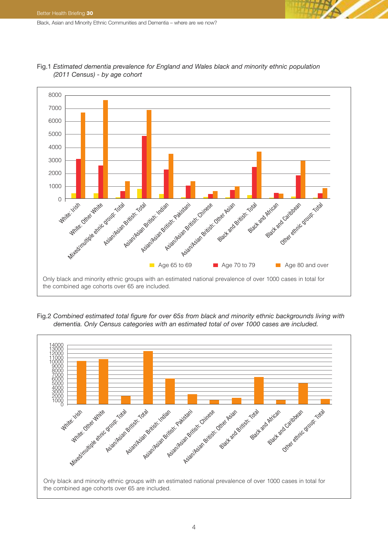

Fig.1 *Estimated dementia prevalence for England and Wales black and minority ethnic population (2011 Census) - by age cohort*

Fig.2 *Combined estimated total figure for over 65s from black and minority ethnic backgrounds living with dementia. Only Census categories with an estimated total of over 1000 cases are included.*

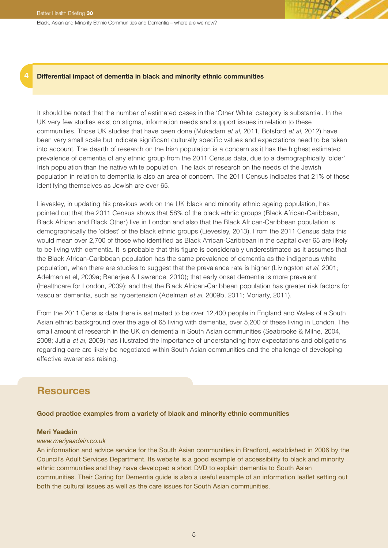#### **4 Differential impact of dementia in black and minority ethnic communities**

It should be noted that the number of estimated cases in the 'Other White' category is substantial. In the UK very few studies exist on stigma, information needs and support issues in relation to these communities. Those UK studies that have been done (Mukadam et al, 2011, Botsford et al, 2012) have been very small scale but indicate significant culturally specific values and expectations need to be taken into account. The dearth of research on the Irish population is a concern as it has the highest estimated prevalence of dementia of any ethnic group from the 2011 Census data, due to a demographically 'older' Irish population than the native white population. The lack of research on the needs of the Jewish population in relation to dementia is also an area of concern. The 2011 Census indicates that 21% of those identifying themselves as Jewish are over 65.

Lievesley, in updating his previous work on the UK black and minority ethnic ageing population, has pointed out that the 2011 Census shows that 58% of the black ethnic groups (Black African-Caribbean, Black African and Black Other) live in London and also that the Black African-Caribbean population is demographically the 'oldest' of the black ethnic groups (Lievesley, 2013). From the 2011 Census data this would mean over 2,700 of those who identified as Black African-Caribbean in the capital over 65 are likely to be living with dementia. It is probable that this figure is considerably underestimated as it assumes that the Black African-Caribbean population has the same prevalence of dementia as the indigenous white population, when there are studies to suggest that the prevalence rate is higher (Livingston et al, 2001; Adelman et el, 2009a; Banerjee & Lawrence, 2010); that early onset dementia is more prevalent (Healthcare for London, 2009); and that the Black African-Caribbean population has greater risk factors for vascular dementia, such as hypertension (Adelman et al, 2009b, 2011; Moriarty, 2011).

From the 2011 Census data there is estimated to be over 12,400 people in England and Wales of a South Asian ethnic background over the age of 65 living with dementia, over 5,200 of these living in London. The small amount of research in the UK on dementia in South Asian communities (Seabrooke & Milne, 2004, 2008; Jutlla et al, 2009) has illustrated the importance of understanding how expectations and obligations regarding care are likely be negotiated within South Asian communities and the challenge of developing effective awareness raising.

## **Resources**

#### **Good practice examples from a variety of black and minority ethnic communities**

#### **Meri Yaadain**

#### *[www.meriyaadain.co.uk](http://www.meriyaadain.co.uk)*

An information and advice service for the South Asian communities in Bradford, established in 2006 by the Council's Adult Services Department. Its website is a good example of accessibility to black and minority ethnic communities and they have developed a short DVD to explain dementia to South Asian communities. Their Caring for Dementia guide is also a useful example of an information leaflet setting out both the cultural issues as well as the care issues for South Asian communities.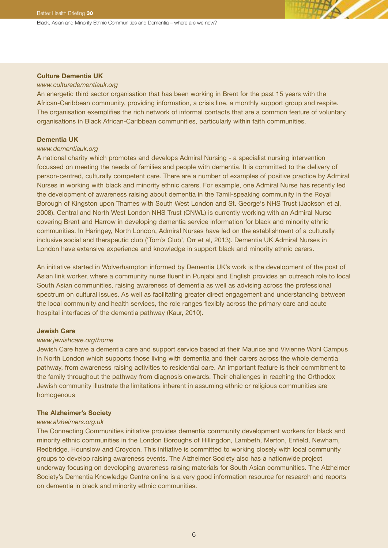#### **Culture Dementia UK**

#### *[www.culturedementiauk.org](http://www.culturedementiauk.org)*

An energetic third sector organisation that has been working in Brent for the past 15 years with the African-Caribbean community, providing information, a crisis line, a monthly support group and respite. The organisation exemplifies the rich network of informal contacts that are a common feature of voluntary organisations in Black African-Caribbean communities, particularly within faith communities.

#### **Dementia UK**

#### *[www.dementiauk.org](http://www.dementiauk.org)*

A national charity which promotes and develops Admiral Nursing - a specialist nursing intervention focussed on meeting the needs of families and people with dementia. It is committed to the delivery of person-centred, culturally competent care. There are a number of examples of positive practice by Admiral Nurses in working with black and minority ethnic carers. For example, one Admiral Nurse has recently led the development of awareness raising about dementia in the Tamil-speaking community in the Royal Borough of Kingston upon Thames with South West London and St. George's NHS Trust (Jackson et al, 2008). Central and North West London NHS Trust (CNWL) is currently working with an Admiral Nurse covering Brent and Harrow in developing dementia service information for black and minority ethnic communities. In Haringey, North London, Admiral Nurses have led on the establishment of a culturally inclusive social and therapeutic club ('Tom's Club', Orr et al, 2013). Dementia UK Admiral Nurses in London have extensive experience and knowledge in support black and minority ethnic carers.

An initiative started in Wolverhampton informed by Dementia UK's work is the development of the post of Asian link worker, where a community nurse fluent in Punjabi and English provides an outreach role to local South Asian communities, raising awareness of dementia as well as advising across the professional spectrum on cultural issues. As well as facilitating greater direct engagement and understanding between the local community and health services, the role ranges flexibly across the primary care and acute hospital interfaces of the dementia pathway (Kaur, 2010).

#### **Jewish Care**

#### *[www.jewishcare.org/home](http://www.jewishcare.org/home)*

Jewish Care have a dementia care and support service based at their Maurice and Vivienne Wohl Campus in North London which supports those living with dementia and their carers across the whole dementia pathway, from awareness raising activities to residential care. An important feature is their commitment to the family throughout the pathway from diagnosis onwards. Their challenges in reaching the Orthodox Jewish community illustrate the limitations inherent in assuming ethnic or religious communities are homogenous

#### **The Alzheimer's Society**

#### *[www.alzheimers.org.uk](http://www.alzheimers.org.uk)*

The Connecting Communities initiative provides dementia community development workers for black and minority ethnic communities in the London Boroughs of Hillingdon, Lambeth, Merton, Enfield, Newham, Redbridge, Hounslow and Croydon. This initiative is committed to working closely with local community groups to develop raising awareness events. The Alzheimer Society also has a nationwide project underway focusing on developing awareness raising materials for South Asian communities. The Alzheimer Society's Dementia Knowledge Centre online is a very good information resource for research and reports on dementia in black and minority ethnic communities.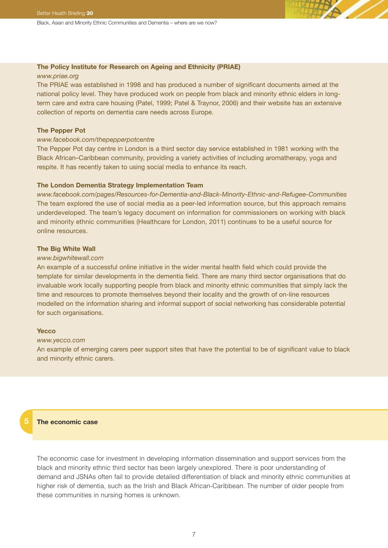#### **The Policy Institute for Research on Ageing and Ethnicity (PRIAE)**

#### *[www.priae.org](http://www.priae.org)*

The PRIAE was established in 1998 and has produced a number of significant documents aimed at the national policy level. They have produced work on people from black and minority ethnic elders in longterm care and extra care housing (Patel, 1999; Patel & Traynor, 2006) and their website has an extensive collection of reports on dementia care needs across Europe.

#### **The Pepper Pot**

#### *[www.facebook.com/thepepperpotcentre](http://www.facebook.com/thepepperpotcentre)*

The Pepper Pot day centre in London is a third sector day service established in 1981 working with the Black African–Caribbean community, providing a variety activities of including aromatherapy, yoga and respite. It has recently taken to using social media to enhance its reach.

#### **The London Dementia Strategy Implementation Team**

*[www.facebook.com/pages/Resources-for-Dementia-and-Black-Minority-Ethnic-and-Refugee-Communities](http://www.facebook.com/pages/Resources-for-Dementia-and-Black-Minority-Ethnic-and-Refugee-Communities)* The team explored the use of social media as a peer-led information source, but this approach remains underdeveloped. The team's legacy document on information for commissioners on working with black and minority ethnic communities (Healthcare for London, 2011) continues to be a useful source for online resources.

#### **The Big White Wall**

#### *[www.bigwhitewall.com](http://www.bigwhitewall.com)*

An example of a successful online initiative in the wider mental health field which could provide the template for similar developments in the dementia field. There are many third sector organisations that do invaluable work locally supporting people from black and minority ethnic communities that simply lack the time and resources to promote themselves beyond their locality and the growth of on-line resources modelled on the information sharing and informal support of social networking has considerable potential for such organisations.

#### **Yecco**

#### *[www.yecco.com](http://www.yecco.com)*

An example of emerging carers peer support sites that have the potential to be of significant value to black and minority ethnic carers.

#### **The economic case**

**5**

The economic case for investment in developing information dissemination and support services from the black and minority ethnic third sector has been largely unexplored. There is poor understanding of demand and JSNAs often fail to provide detailed differentiation of black and minority ethnic communities at higher risk of dementia, such as the Irish and Black African-Caribbean. The number of older people from these communities in nursing homes is unknown.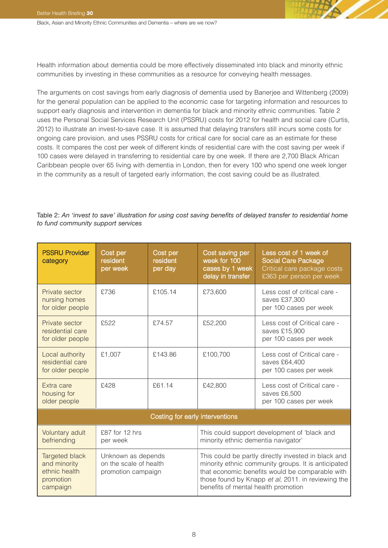Health information about dementia could be more effectively disseminated into black and minority ethnic communities by investing in these communities as a resource for conveying health messages.

The arguments on cost savings from early diagnosis of dementia used by Banerjee and Wittenberg (2009) for the general population can be applied to the economic case for targeting information and resources to support early diagnosis and intervention in dementia for black and minority ethnic communities. Table 2 uses the Personal Social Services Research Unit (PSSRU) costs for 2012 for health and social care (Curtis, 2012) to illustrate an invest-to-save case. It is assumed that delaying transfers still incurs some costs for ongoing care provision, and uses PSSRU costs for critical care for social care as an estimate for these costs. It compares the cost per week of different kinds of residential care with the cost saving per week if 100 cases were delayed in transferring to residential care by one week. If there are 2,700 Black African Caribbean people over 65 living with dementia in London, then for every 100 who spend one week longer in the community as a result of targeted early information, the cost saving could be as illustrated.

#### Table 2: *An 'invest to save' illustration for using cost saving benefits of delayed transfer to residential home to fund community support services*

| <b>PSSRU Provider</b><br>category                                        | Cost per<br>resident<br>per week                                   | Cost per<br>resident<br>per day | Cost saving per<br>week for 100<br>cases by 1 week<br>delay in transfer                                                                                                                                                                                    | Less cost of 1 week of<br>Social Care Package<br>Critical care package costs<br>£363 per person per week |  |
|--------------------------------------------------------------------------|--------------------------------------------------------------------|---------------------------------|------------------------------------------------------------------------------------------------------------------------------------------------------------------------------------------------------------------------------------------------------------|----------------------------------------------------------------------------------------------------------|--|
| Private sector<br>nursing homes<br>for older people                      | £736                                                               | £105.14                         | £73,600                                                                                                                                                                                                                                                    | Less cost of critical care -<br>saves £37,300<br>per 100 cases per week                                  |  |
| Private sector<br>residential care<br>for older people                   | £522                                                               | £74.57                          | £52,200                                                                                                                                                                                                                                                    | Less cost of Critical care -<br>saves £15,900<br>per 100 cases per week                                  |  |
| Local authority<br>residential care<br>for older people                  | £1,007                                                             | £143.86                         | £100,700                                                                                                                                                                                                                                                   | Less cost of Critical care -<br>saves £64,400<br>per 100 cases per week                                  |  |
| Extra care<br>housing for<br>older people                                | £428                                                               | £61.14                          | £42,800                                                                                                                                                                                                                                                    | Less cost of Critical care -<br>saves £6,500<br>per 100 cases per week                                   |  |
| Costing for early interventions                                          |                                                                    |                                 |                                                                                                                                                                                                                                                            |                                                                                                          |  |
| Voluntary adult<br>befriending                                           | £87 for 12 hrs<br>per week                                         |                                 | This could support development of 'black and<br>minority ethnic dementia navigator'                                                                                                                                                                        |                                                                                                          |  |
| Targeted black<br>and minority<br>ethnic health<br>promotion<br>campaign | Unknown as depends<br>on the scale of health<br>promotion campaign |                                 | This could be partly directly invested in black and<br>minority ethnic community groups. It is anticipated<br>that economic benefits would be comparable with<br>those found by Knapp et al, 2011. in reviewing the<br>benefits of mental health promotion |                                                                                                          |  |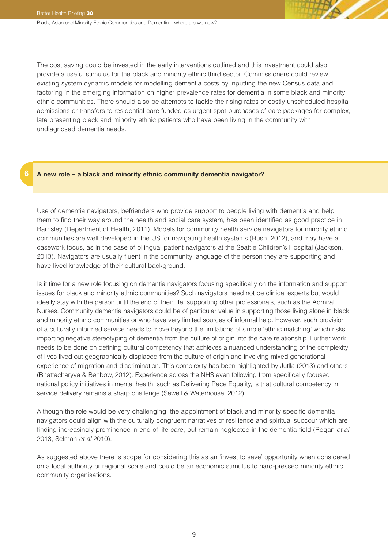**6**

Black, Asian and Minority Ethnic Communities and Dementia – where are we now?

The cost saving could be invested in the early interventions outlined and this investment could also provide a useful stimulus for the black and minority ethnic third sector. Commissioners could review existing system dynamic models for modelling dementia costs by inputting the new Census data and factoring in the emerging information on higher prevalence rates for dementia in some black and minority ethnic communities. There should also be attempts to tackle the rising rates of costly unscheduled hospital admissions or transfers to residential care funded as urgent spot purchases of care packages for complex, late presenting black and minority ethnic patients who have been living in the community with undiagnosed dementia needs.

### **A new role – a black and minority ethnic community dementia navigator?**

Use of dementia navigators, befrienders who provide support to people living with dementia and help them to find their way around the health and social care system, has been identified as good practice in Barnsley (Department of Health, 2011). Models for community health service navigators for minority ethnic communities are well developed in the US for navigating health systems (Rush, 2012), and may have a casework focus, as in the case of bilingual patient navigators at the Seattle Children's Hospital (Jackson, 2013). Navigators are usually fluent in the community language of the person they are supporting and have lived knowledge of their cultural background.

Is it time for a new role focusing on dementia navigators focusing specifically on the information and support issues for black and minority ethnic communities? Such navigators need not be clinical experts but would ideally stay with the person until the end of their life, supporting other professionals, such as the Admiral Nurses. Community dementia navigators could be of particular value in supporting those living alone in black and minority ethnic communities or who have very limited sources of informal help. However, such provision of a culturally informed service needs to move beyond the limitations of simple 'ethnic matching' which risks importing negative stereotyping of dementia from the culture of origin into the care relationship. Further work needs to be done on defining cultural competency that achieves a nuanced understanding of the complexity of lives lived out geographically displaced from the culture of origin and involving mixed generational experience of migration and discrimination. This complexity has been highlighted by Jutlla (2013) and others (Bhattacharyya & Benbow, 2012). Experience across the NHS even following from specifically focused national policy initiatives in mental health, such as Delivering Race Equality, is that cultural competency in service delivery remains a sharp challenge (Sewell & Waterhouse, 2012).

Although the role would be very challenging, the appointment of black and minority specific dementia navigators could align with the culturally congruent narratives of resilience and spiritual succour which are finding increasingly prominence in end of life care, but remain neglected in the dementia field (Regan et al, 2013, Selman et al 2010).

As suggested above there is scope for considering this as an 'invest to save' opportunity when considered on a local authority or regional scale and could be an economic stimulus to hard-pressed minority ethnic community organisations.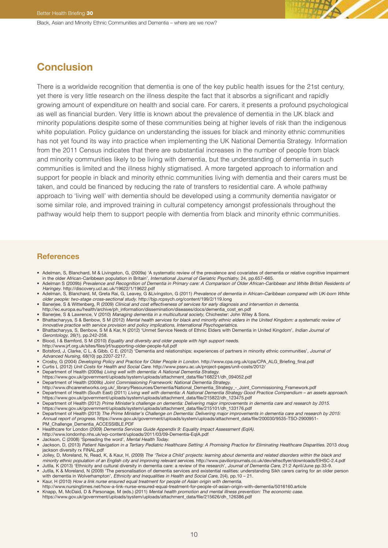## **Conclusion**

There is a worldwide recognition that dementia is one of the key public health issues for the 21st century, yet there is very little research on the illness despite the fact that it absorbs a significant and rapidly growing amount of expenditure on health and social care. For carers, it presents a profound psychological as well as financial burden. Very little is known about the prevalence of dementia in the UK black and minority populations despite some of these communities being at higher levels of risk than the indigenous white population. Policy guidance on understanding the issues for black and minority ethnic communities has not yet found its way into practice when implementing the UK National Dementia Strategy. Information from the 2011 Census indicates that there are substantial increases in the number of people from black and minority communities likely to be living with dementia, but the understanding of dementia in such communities is limited and the illness highly stigmatised. A more targeted approach to information and support for people in black and minority ethnic communities living with dementia and their carers must be taken, and could be financed by reducing the rate of transfers to residential care. A whole pathway approach to 'living well' with dementia should be developed using a community dementia navigator or some similar role, and improved training in cultural competency amongst professionals throughout the pathway would help them to support people with dementia from black and minority ethnic communities.

#### **References**

- Adelman, S, Blanchard, M & Livingston, G, (2009a) 'A systematic review of the prevalence and covariates of dementia or relative cognitive impairment in the older African-Caribbean population in Britain', International Journal of Geriatric Psychiatry, 24, pp.657–665.
- Adelman S (2009b) Prevalence and Recognition of Dementia in Primary care: A Comparison of Older African-Caribbean and White British Residents of Haringey. <http://discovery.ucl.ac.uk/19622/1/19622.pdf>
- Adelman, S, Blanchard, M, Greta Rai, G, Leavey, G &Livingston, G (2011) Prevalence of dementia in African–Caribbean compared with UK-born White older people: two-stage cross-sectional study. <http://bjp.rcpsych.org/content/199/2/119.long>
- Banerjee, S & Wittenberg, R (2009) Clinical and cost effectiveness of services for early diagnosis and intervention in dementia.
- [http://ec.europa.eu/health/archive/ph\\_information/dissemination/diseases/docs/dementia\\_cost\\_en.pdf](http://ec.europa.eu/health/archive/ph_information/dissemination/diseases/docs/dementia_cost_en.pdf) Banerjee, S & Lawrence, V (2010) Managing dementia in <sup>a</sup> multicultural society, Chichester: John Wiley & Sons.
- 
- Bhattacharyya, S & Benbow, S M (2012) Mental health services for black and minority ethnic elders in the United Kingdom: a systematic review of innovative practice with service provision and policy implications, International Psychogeriatrics. • Bhattacharyya, S, Benbow, S M & Kar, N (2012) 'Unmet Service Needs of Ethnic Elders with Dementia in United Kingdom', Indian Journal of
- Gerontology, 26(1), pp.242-258. • Blood, I & Bamford, S M (2010) Equality and diversity and older people with high support needs.
- <http://www.jrf.org.uk/sites/files/jrf/supporting-older-people-full.pdf>
- Botsford, J, Clarke, C L, & Gibb, C E, (2012) 'Dementia and relationships: experiences of partners in minority ethnic communities', Journal of Advanced Nursing, 68(10) pp.2207-2217.
- Crosby, G (2004) Developing Policy and Practice for Older People in London. [http://www.cpa.org.uk/cpa/CPA\\_ALG\\_Briefing\\_final.pdf](http://www.cpa.org.uk/cpa/CPA_ALG_Briefing_final.pdf)
- Curtis L (2012) Unit Costs for Health and Social Care. [http://www.pssru.ac.uk/project-pages/unit-costs/2012/](http://www.pssru.ac.uk/project-pages/unit-costs/2012)
- Department of Health (2009a) Living well with dementia: A National Dementia Strategy.
- [https://www.gov.uk/government/uploads/system/uploads/attachment\\_data/file/168221/dh\\_094052.pdf](https://www.gov.uk/government/uploads/system/uploads/attachment_data/file/168221/dh_094052.pdf)
- Department of Health (2009b) Joint Commissioning Framework: National Dementia Strategy.
- [http://www.dhcarenetworks.org.uk/\\_library/Resources/Dementia/National\\_Dementia\\_Strategy\\_-\\_Joint\\_Commissioning\\_Framework.pdf](http://www.dhcarenetworks.org.uk/_library/Resources/Dementia/National_Dementia_Strategy_-_Joint_Commissioning_Framework.pdf)<br>Department of Health (South East) (2011) *Living well with dementia: A National Dementia Strategy* [https://www.gov.uk/government/uploads/system/uploads/attachment\\_data/file/215822/dh\\_123475.pdf](https://www.gov.uk/government/uploads/system/uploads/attachment_data/file/215822/dh_123475.pdf)
- Department of Health (2012) Prime Minister's challenge on dementia: Delivering major improvements in dementia care and research by 2015. [https://www.gov.uk/government/uploads/system/uploads/attachment\\_data/file/215101/dh\\_133176.pdf](https://www.gov.uk/government/uploads/system/uploads/attachment_data/file/215101/dh_133176.pdf)
- Department of Health (2013) The Prime Minister's Challenge on Dementia: Delivering major improvements in dementia care and research by 2015: Annual report of progress. [https://www.gov.uk/government/uploads/system/uploads/attachment\\_data/file/200030/9535-TSO-2900951-](https://www.gov.uk/government/uploads/system/uploads/attachment_data/file/200030/9535-TSO-2900951-PM_Challenge_Dementia_ACCESSIBLE.PDF) [PM\\_Challenge\\_Dementia\\_ACCESSIBLE.PDF](https://www.gov.uk/government/uploads/system/uploads/attachment_data/file/200030/9535-TSO-2900951-PM_Challenge_Dementia_ACCESSIBLE.PDF)
- Healthcare for London (2009) Dementia Services Guide Appendix 9: Equality Impact Assessment (EqIA).
- <http://www.londonhp.nhs.uk/wp-content/uploads/2011/03/09-Dementia-EqIA.pdf>
- Jackson, C (2008) 'Spreading the word', Mental Health Today.
- Jackson, D, (2013) Patient Navigation in a Tertiary Pediatric Healthcare Setting: A Promising Practice for Eliminating Healthcare Disparities. 2013 [doug](doug jackson diversity rx FINAL.pdf) jackson diversity rx [FINAL.pdf](doug jackson diversity rx FINAL.pdf)
- Jolley, D, Moreland, N, Read, K, & Kaur, H, (2009) The 'Twice <sup>a</sup> Child' projects: learning about dementia and related disorders within the black and minority ethnic population of an English city and improving relevant services. [http://www.pavilionjournals.co.uk/dev/eihscflyer/downloads/EIHSC-2.4.pdf](http://www.pavilionjournals.co.uk/dev/eihscflyer/downloads/EIHSC-2.4.pdf )
- Jutlla, K (2013) 'Ethnicity and cultural diversity in dementia care: a review of the research', Journal of Dementia Care, 21:2 April/June pp.33-9. • Jutlla, K & Moreland, N (2009) 'The personalisation of dementia services and existential realities: understanding Sikh carers caring for an older person
- with dementia in Wolverhampton', Ethnicity and Inequalities in Health and Social Care, 2(4), pp.10 21. • Kaur, H (2010) How <sup>a</sup> link nurse ensured equal treatment for people of Asian origin with dementia.
- <http://www.nursingtimes.net/how-a-link-nurse-ensured-equal-treatment-for-people-of-asian-origin-with-dementia/5016160.article>
- Knapp, M, McDaid, D & Parsonage, M (eds.) (2011) Mental health promotion and mental illness prevention: The economic case.